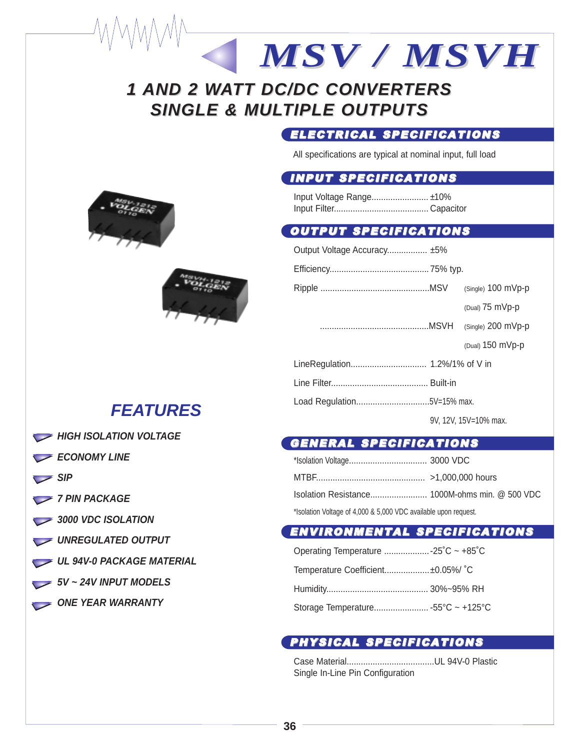# **1 AND 2 WATT DC/DC CONVERTERS SINGLE & MULTIPLE OUTPUTS**

### ELECTRICAL SPECIFICATIONS

*MSV / MSVH*

All specifications are typical at nominal input, full load

## INPUT SPECIFICATIONS

Input Voltage Range........................ ±10% Input Filter........................................ Capacitor

#### OUTPUT SPECIFICATIONS

| Output Voltage Accuracy ±5%    |  |                           |
|--------------------------------|--|---------------------------|
|                                |  |                           |
|                                |  | $(Single)$ 100 mVp-p      |
|                                |  | (Dual) $75 \text{ mVp-p}$ |
|                                |  |                           |
|                                |  | (Dual) $150$ mVp-p        |
| LineRegulation 1.2%/1% of V in |  |                           |
|                                |  |                           |
| Load Regulation5V=15% max.     |  |                           |
|                                |  | 9V. 12V. 15V=10% max.     |

### GENERAL SPECIFICATIONS

| *Isolation Voltage of 4,000 & 5,000 VDC available upon request. |  |
|-----------------------------------------------------------------|--|

#### ENVIRONMENTAL SPECIFICATIONS

| Operating Temperature  -25°C ~ +85°C |  |
|--------------------------------------|--|
| Temperature Coefficient±0.05%/ °C    |  |
|                                      |  |
|                                      |  |

### PHYSICAL SPECIFICATIONS

Case Material.....................................UL 94V-0 Plastic Single In-Line Pin Configuration





## **FEATURES**

- **HIGH ISOLATION VOLTAGE**
- **ECONOMY LINE**
- **SIP**
- *7 PIN PACKAGE*
- 3000 VDC ISOLATION
- UNREGULATED OUTPUT
- **UL 94V-0 PACKAGE MATERIAL**
- **5V ~ 24V INPUT MODELS**
- ONE YEAR WARRANTY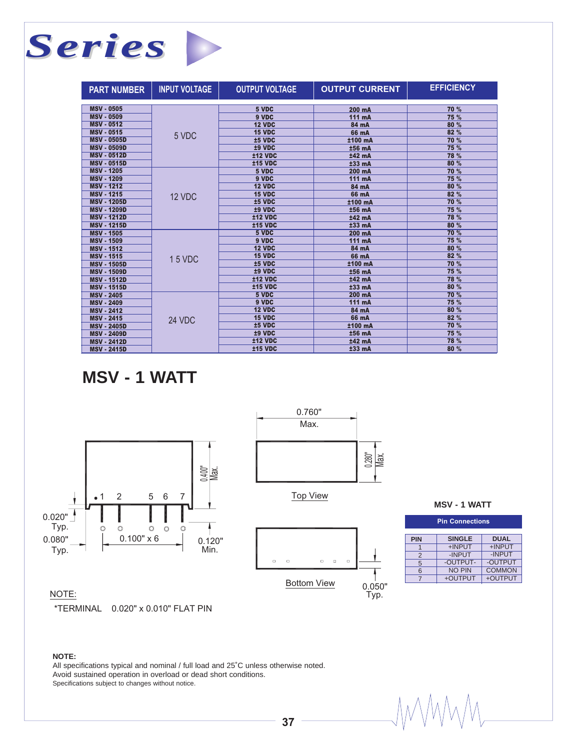## *Series* **Service**

| <b>PART NUMBER</b> | <b>INPUT VOLTAGE</b> | <b>OUTPUT VOLTAGE</b> | <b>OUTPUT CURRENT</b> | <b>EFFICIENCY</b> |
|--------------------|----------------------|-----------------------|-----------------------|-------------------|
|                    |                      |                       |                       |                   |
| <b>MSV - 0505</b>  |                      | 5 VDC                 | 200 mA                | 70 %              |
| <b>MSV - 0509</b>  |                      | 9 VDC                 | 111 mA                | 75 %              |
| <b>MSV - 0512</b>  |                      | <b>12 VDC</b>         | 84 mA                 | 80 %              |
| <b>MSV - 0515</b>  | 5 VDC                | <b>15 VDC</b>         | 66 mA                 | 82 %              |
| <b>MSV - 0505D</b> |                      | ±5 VDC                | ±100 mA               | 70 %              |
| <b>MSV - 0509D</b> |                      | ±9 VDC                | ±56 mA                | 75 %              |
| <b>MSV - 0512D</b> |                      | <b>±12 VDC</b>        | ±42 mA                | 78 %              |
| <b>MSV - 0515D</b> |                      | <b>±15 VDC</b>        | $±33$ mA              | 80 %              |
| <b>MSV - 1205</b>  |                      | 5 VDC                 | 200 mA                | 70 %              |
| <b>MSV - 1209</b>  |                      | 9 VDC                 | 111 mA                | 75 %              |
| <b>MSV - 1212</b>  | 12 VDC               | <b>12 VDC</b>         | 84 mA                 | 80 %              |
| <b>MSV - 1215</b>  |                      | <b>15 VDC</b>         | 66 mA                 | 82 %              |
| <b>MSV - 1205D</b> |                      | ±5 VDC                | ±100 mA               | 70 %              |
| <b>MSV - 1209D</b> |                      | ±9 VDC                | ±56 mA                | 75 %              |
| <b>MSV - 1212D</b> |                      | <b>±12 VDC</b>        | ±42 mA                | 78 %              |
| <b>MSV - 1215D</b> |                      | <b>±15 VDC</b>        | $±33$ mA              | 80 %              |
| <b>MSV - 1505</b>  |                      | 5 VDC                 | 200 mA                | 70 %              |
| <b>MSV - 1509</b>  |                      | 9 VDC                 | 111 mA                | 75 %              |
| <b>MSV - 1512</b>  |                      | 12 VDC                | 84 mA                 | 80 %              |
| <b>MSV - 1515</b>  | 15 VDC               | <b>15 VDC</b>         | 66 mA                 | 82 %              |
| <b>MSV - 1505D</b> |                      | ±5 VDC                | ±100 mA               | 70 %              |
| <b>MSV - 1509D</b> |                      | ±9 VDC                | ±56 mA                | 75 %              |
| <b>MSV - 1512D</b> |                      | <b>±12 VDC</b>        | ±42 mA                | 78 %              |
| <b>MSV - 1515D</b> |                      | <b>±15 VDC</b>        | ±33 mA                | 80 %              |
| <b>MSV - 2405</b>  | 24 VDC               | 5 VDC                 | 200 mA                | 70 %              |
| <b>MSV - 2409</b>  |                      | 9 VDC                 | 111 mA                | 75 %              |
| <b>MSV - 2412</b>  |                      | <b>12 VDC</b>         | 84 mA                 | 80 %              |
| <b>MSV - 2415</b>  |                      | <b>15 VDC</b>         | 66 mA                 | 82 %              |
| <b>MSV - 2405D</b> |                      | ±5 VDC                | ±100 mA               | 70 %              |
| <b>MSV - 2409D</b> |                      | ±9 VDC                | ±56 mA                | 75 %              |
| <b>MSV - 2412D</b> |                      | <b>±12 VDC</b>        | ±42 mA                | 78 %              |
| <b>MSV - 2415D</b> |                      | <b>±15 VDC</b>        | $±33$ mA              | 80 %              |

**MSV - 1 WATT**





Top View



| <b>MSV - 1 WATT</b> |
|---------------------|
|---------------------|

| <b>Pin Connections</b>                     |               |               |  |  |
|--------------------------------------------|---------------|---------------|--|--|
| <b>SINGLE</b><br><b>DUAL</b><br><b>PIN</b> |               |               |  |  |
|                                            | +INPUT        | +INPUT        |  |  |
| 2                                          | -INPUT        | -INPUT        |  |  |
| 5                                          | -OUTPUT-      | -OUTPUT       |  |  |
| 6                                          | <b>NO PIN</b> | <b>COMMON</b> |  |  |
|                                            | +OUTPUT       | +OUTPUT       |  |  |
|                                            |               |               |  |  |

MMM,

#### NOTE:

\*TERMINAL 0.020" x 0.010" FLAT PIN

#### **NOTE:**

All specifications typical and nominal / full load and 25˚C unless otherwise noted. Avoid sustained operation in overload or dead short conditions. Specifications subject to changes without notice.